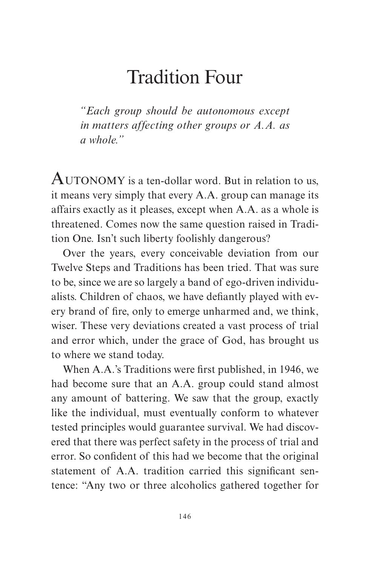## Tradition Four

*"Each group should be autonomous except in matters affecting other groups or A.A. as a whole."*

 $\rm{A}$ UTONOMY is a ten-dollar word. But in relation to us, it means very simply that every A.A. group can manage its affairs exactly as it pleases, except when A.A. as a whole is threatened. Comes now the same question raised in Tradition One. Isn't such liberty foolishly dangerous?

Over the years, every conceivable deviation from our Twelve Steps and Traditions has been tried. That was sure to be, since we are so largely a band of ego-driven individualists. Children of chaos, we have defiantly played with every brand of fire, only to emerge unharmed and, we think, wiser. These very deviations created a vast process of trial and error which, under the grace of God, has brought us to where we stand today.

When A.A.'s Traditions were first published, in 1946, we had become sure that an A.A. group could stand almost any amount of battering. We saw that the group, exactly like the individual, must eventually conform to whatever tested principles would guarantee survival. We had discovered that there was perfect safety in the process of trial and error. So confident of this had we become that the original statement of A.A. tradition carried this significant sentence: "Any two or three alcoholics gathered together for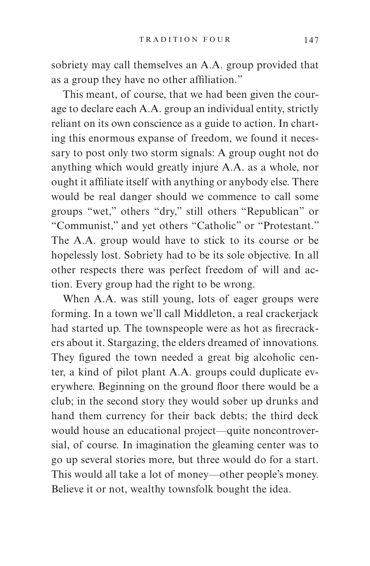sobriety may call themselves an A.A. group provided that as a group they have no other affiliation."

This meant, of course, that we had been given the courage to declare each A.A. group an individual entity, strictly reliant on its own conscience as a guide to action. In charting this enormous expanse of freedom, we found it necessary to post only two storm signals: A group ought not do anything which would greatly injure A.A. as a whole, nor ought it affiliate itself with anything or anybody else. There would be real danger should we commence to call some groups "wet," others "dry," still others "Republican" or "Communist," and yet others "Catholic" or "Protestant." The A.A. group would have to stick to its course or be hopelessly lost. Sobriety had to be its sole objective. In all other respects there was perfect freedom of will and action. Every group had the right to be wrong.

When A.A. was still young, lots of eager groups were forming. In a town we'll call Middleton, a real crackerjack had started up. The townspeople were as hot as firecrackers about it. Stargazing, the elders dreamed of innovations. They figured the town needed a great big alcoholic center, a kind of pilot plant A.A. groups could duplicate everywhere. Beginning on the ground floor there would be a club; in the second story they would sober up drunks and hand them currency for their back debts; the third deck would house an educational project—quite noncontroversial, of course. In imagination the gleaming center was to go up several stories more, but three would do for a start. This would all take a lot of money—other people's money. Believe it or not, wealthy townsfolk bought the idea.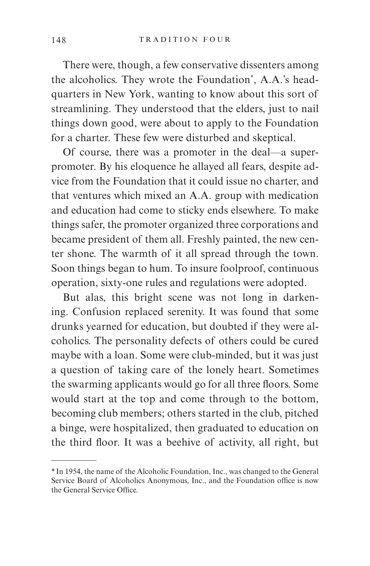There were, though, a few conservative dissenters among the alcoholics. They wrote the Foundation\* , A.A.'s headquarters in New York, wanting to know about this sort of streamlining. They understood that the elders, just to nail things down good, were about to apply to the Foundation for a charter. These few were disturbed and skeptical.

Of course, there was a promoter in the deal—a superpromoter. By his eloquence he allayed all fears, despite advice from the Foundation that it could issue no charter, and that ventures which mixed an A.A. group with medication and education had come to sticky ends elsewhere. To make things safer, the promoter organized three corporations and became president of them all. Freshly painted, the new center shone. The warmth of it all spread through the town. Soon things began to hum. To insure foolproof, continuous operation, sixty-one rules and regulations were adopted.

But alas, this bright scene was not long in darkening. Confusion replaced serenity. It was found that some drunks yearned for education, but doubted if they were alcoholics. The personality defects of others could be cured maybe with a loan. Some were club-minded, but it was just a question of taking care of the lonely heart. Sometimes the swarming applicants would go for all three floors. Some would start at the top and come through to the bottom, becoming club members; others started in the club, pitched a binge, were hospitalized, then graduated to education on the third floor. It was a beehive of activity, all right, but

<sup>\*</sup> In 1954, the name of the Alcoholic Foundation, Inc., was changed to the General Service Board of Alcoholics Anonymous, Inc., and the Foundation office is now the General Service Office.